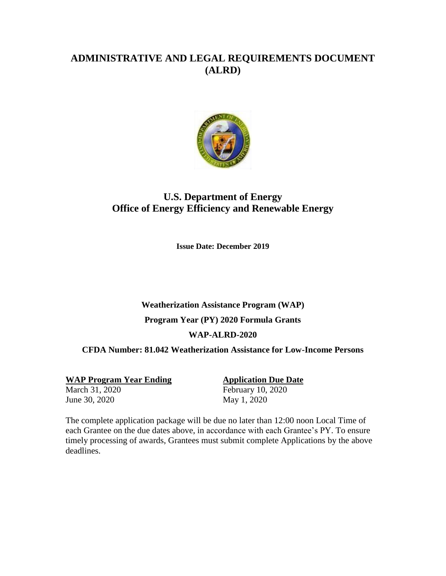# **ADMINISTRATIVE AND LEGAL REQUIREMENTS DOCUMENT (ALRD)**



# **U.S. Department of Energy Office of Energy Efficiency and Renewable Energy**

**Issue Date: December 2019**

**Weatherization Assistance Program (WAP) Program Year (PY) 2020 Formula Grants WAP-ALRD-2020**

**CFDA Number: 81.042 Weatherization Assistance for Low-Income Persons**

**WAP Program Year Ending <b>Application Due Date** March 31, 2020 **February 10, 2020** June 30, 2020 May 1, 2020

The complete application package will be due no later than 12:00 noon Local Time of each Grantee on the due dates above, in accordance with each Grantee's PY. To ensure timely processing of awards, Grantees must submit complete Applications by the above deadlines.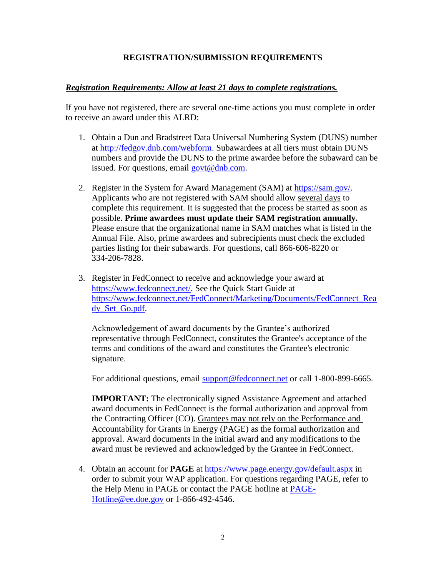#### **REGISTRATION/SUBMISSION REQUIREMENTS**

#### *Registration Requirements: Allow at least 21 days to complete registrations.*

If you have not registered, there are several one-time actions you must complete in order to receive an award under this ALRD:

- 1. Obtain a Dun and Bradstreet Data Universal Numbering System (DUNS) number at [http://fedgov.dnb.com/webform.](http://fedgov.dnb.com/webform) Subawardees at all tiers must obtain DUNS numbers and provide the DUNS to the prime awardee before the subaward can be issued. For questions, email [govt@dnb.com.](mailto:govt@dnb.com)
- 2. Register in the System for Award Management (SAM) at [https://sam.gov/.](https://sam.gov/) Applicants who are not registered with SAM should allow several days to complete this requirement. It is suggested that the process be started as soon as possible. **Prime awardees must update their SAM registration annually.** Please ensure that the organizational name in SAM matches what is listed in the Annual File. Also, prime awardees and subrecipients must check the excluded parties listing for their subawards*.* For questions, call 866-606-8220 or 334-206-7828.
- 3. Register in FedConnect to receive and acknowledge your award at [https://www.fedconnect.net/.](https://www.fedconnect.net/) See the Quick Start Guide at [https://www.fedconnect.net/FedConnect/Marketing/Documents/FedConnect\\_Rea](https://www.fedconnect.net/FedConnect/Marketing/Documents/FedConnect_Ready_Set_Go.pdf) [dy\\_Set\\_Go.pdf.](https://www.fedconnect.net/FedConnect/Marketing/Documents/FedConnect_Ready_Set_Go.pdf)

Acknowledgement of award documents by the Grantee's authorized representative through FedConnect, constitutes the Grantee's acceptance of the terms and conditions of the award and constitutes the Grantee's electronic signature.

For additional questions, email [support@fedconnect.net](mailto:support@fedconnect.net) or call 1-800-899-6665.

**IMPORTANT:** The electronically signed Assistance Agreement and attached award documents in FedConnect is the formal authorization and approval from the Contracting Officer (CO). Grantees may not rely on the Performance and Accountability for Grants in Energy (PAGE) as the formal authorization and approval. Award documents in the initial award and any modifications to the award must be reviewed and acknowledged by the Grantee in FedConnect.

4. Obtain an account for **PAGE** at <https://www.page.energy.gov/default.aspx> in order to submit your WAP application. For questions regarding PAGE, refer to the Help Menu in PAGE or contact the PAGE hotline at [PAGE-](mailto:PAGE-Hotline@ee.doe.gov)[Hotline@ee.doe.gov](mailto:PAGE-Hotline@ee.doe.gov) or 1-866-492-4546.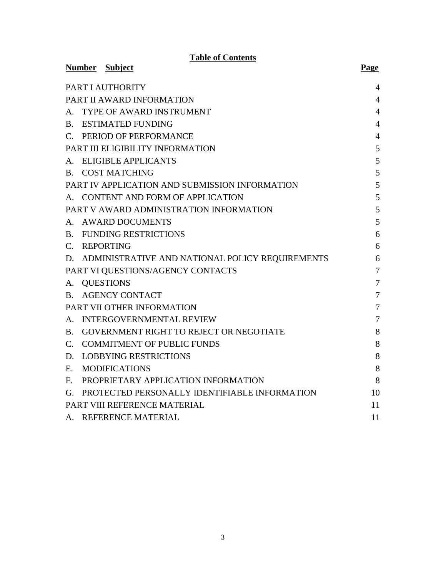|                                         |  | <b>Number</b> Subject                              | <b>Page</b>    |
|-----------------------------------------|--|----------------------------------------------------|----------------|
|                                         |  | PART I AUTHORITY                                   | 4              |
|                                         |  | PART II AWARD INFORMATION                          | $\overline{4}$ |
|                                         |  | A. TYPE OF AWARD INSTRUMENT                        | $\overline{4}$ |
| $B_{-}$                                 |  | <b>ESTIMATED FUNDING</b>                           | $\overline{4}$ |
|                                         |  | C. PERIOD OF PERFORMANCE                           | $\overline{4}$ |
| PART III ELIGIBILITY INFORMATION        |  |                                                    | 5              |
|                                         |  | A. ELIGIBLE APPLICANTS                             | 5              |
| $\mathbf{B}$ .                          |  | <b>COST MATCHING</b>                               | 5              |
|                                         |  | PART IV APPLICATION AND SUBMISSION INFORMATION     | 5              |
|                                         |  | A. CONTENT AND FORM OF APPLICATION                 | 5              |
| PART V AWARD ADMINISTRATION INFORMATION |  |                                                    | 5              |
|                                         |  | A. AWARD DOCUMENTS                                 | 5              |
|                                         |  | <b>B. FUNDING RESTRICTIONS</b>                     | 6              |
| $C_{\cdot}$                             |  | <b>REPORTING</b>                                   | 6              |
|                                         |  | D. ADMINISTRATIVE AND NATIONAL POLICY REQUIREMENTS | 6              |
| PART VI QUESTIONS/AGENCY CONTACTS       |  |                                                    | $\overline{7}$ |
| A.                                      |  | <b>QUESTIONS</b>                                   | $\overline{7}$ |
|                                         |  | <b>B. AGENCY CONTACT</b>                           | $\overline{7}$ |
| PART VII OTHER INFORMATION              |  |                                                    | $\overline{7}$ |
|                                         |  | A. INTERGOVERNMENTAL REVIEW                        | $\tau$         |
| <b>B.</b>                               |  | GOVERNMENT RIGHT TO REJECT OR NEGOTIATE            | 8              |
| $C_{\cdot}$                             |  | <b>COMMITMENT OF PUBLIC FUNDS</b>                  | 8              |
| D.                                      |  | <b>LOBBYING RESTRICTIONS</b>                       | 8              |
| E.                                      |  | <b>MODIFICATIONS</b>                               | 8              |
| $F_{\cdot}$                             |  | PROPRIETARY APPLICATION INFORMATION                | 8              |
| G.                                      |  | PROTECTED PERSONALLY IDENTIFIABLE INFORMATION      | 10             |
| PART VIII REFERENCE MATERIAL            |  |                                                    | 11             |
|                                         |  | A. REFERENCE MATERIAL                              | 11             |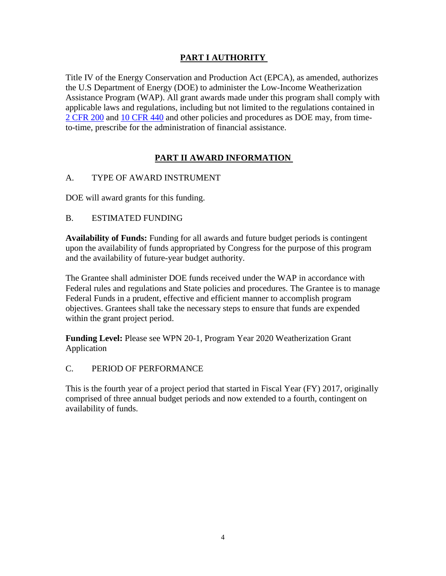## **PART I AUTHORITY**

<span id="page-3-0"></span>Title IV of the Energy Conservation and Production Act (EPCA), as amended, authorizes the U.S Department of Energy (DOE) to administer the Low-Income Weatherization Assistance Program (WAP). All grant awards made under this program shall comply with applicable laws and regulations, including but not limited to the regulations contained in [2 CFR 200](https://www.ecfr.gov/cgi-bin/text-idx?tpl=/ecfrbrowse/Title02/2cfr200_main_02.tpl) and [10 CFR 440](https://www.ecfr.gov/cgi-bin/text-idx?tpl=/ecfrbrowse/Title10/10cfr440_main_02.tpl) and other policies and procedures as DOE may, from timeto-time, prescribe for the administration of financial assistance.

## **PART II AWARD INFORMATION**

#### <span id="page-3-2"></span><span id="page-3-1"></span>A. TYPE OF AWARD INSTRUMENT

DOE will award grants for this funding.

#### <span id="page-3-3"></span>B. ESTIMATED FUNDING

**Availability of Funds:** Funding for all awards and future budget periods is contingent upon the availability of funds appropriated by Congress for the purpose of this program and the availability of future-year budget authority.

The Grantee shall administer DOE funds received under the WAP in accordance with Federal rules and regulations and State policies and procedures. The Grantee is to manage Federal Funds in a prudent, effective and efficient manner to accomplish program objectives. Grantees shall take the necessary steps to ensure that funds are expended within the grant project period.

**Funding Level:** Please see WPN 20-1, Program Year 2020 Weatherization Grant Application

#### <span id="page-3-4"></span>C. PERIOD OF PERFORMANCE

This is the fourth year of a project period that started in Fiscal Year (FY) 2017, originally comprised of three annual budget periods and now extended to a fourth, contingent on availability of funds.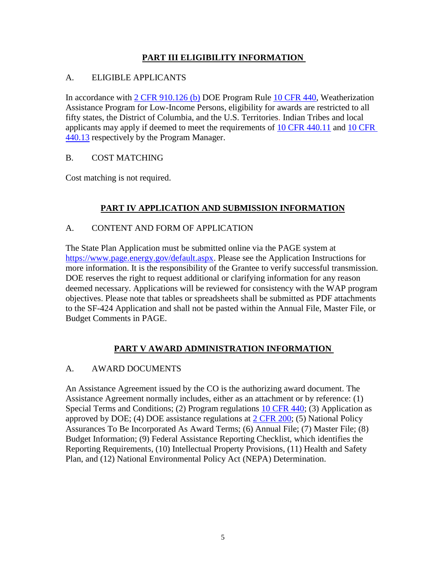## **PART III ELIGIBILITY INFORMATION**

### <span id="page-4-1"></span><span id="page-4-0"></span>A. ELIGIBLE APPLICANTS

In accordance with [2 CFR 910.126 \(b\)](https://www.ecfr.gov/cgi-bin/text-idx?SID=603839ff9f638565f4dab514877ab3f2&node=pt2.1.910&rgn=div5/) DOE Program Rule [10 CFR 440,](https://www.ecfr.gov/cgi-bin/text-idx?tpl=/ecfrbrowse/Title10/10cfr440_main_02.tpl) Weatherization Assistance Program for Low-Income Persons, eligibility for awards are restricted to all fifty states, the District of Columbia, and the U.S. Territories. Indian Tribes and local applicants may apply if deemed to meet the requirements of 10 CFR [440.11](https://www.ecfr.gov/cgi-bin/text-idx?tpl=/ecfrbrowse/Title10/10cfr440_main_02.tpl) and 10 [CFR](https://www.ecfr.gov/cgi-bin/text-idx?tpl=/ecfrbrowse/Title10/10cfr440_main_02.tpl) [440.13](https://www.ecfr.gov/cgi-bin/text-idx?tpl=/ecfrbrowse/Title10/10cfr440_main_02.tpl) respectively by the Program Manager.

### <span id="page-4-2"></span>B. COST MATCHING

Cost matching is not required.

### **PART IV APPLICATION AND SUBMISSION INFORMATION**

### <span id="page-4-4"></span><span id="page-4-3"></span>A. CONTENT AND FORM OF APPLICATION

The State Plan Application must be submitted online via the PAGE system at [https://www.page.energy.gov/default.aspx.](https://www.page.energy.gov/default.aspx) Please see the Application Instructions for more information. It is the responsibility of the Grantee to verify successful transmission. DOE reserves the right to request additional or clarifying information for any reason deemed necessary. Applications will be reviewed for consistency with the WAP program objectives. Please note that tables or spreadsheets shall be submitted as PDF attachments to the SF-424 Application and shall not be pasted within the Annual File, Master File, or Budget Comments in PAGE.

## **PART V AWARD ADMINISTRATION INFORMATION**

### <span id="page-4-6"></span><span id="page-4-5"></span>A. AWARD DOCUMENTS

<span id="page-4-7"></span>An Assistance Agreement issued by the CO is the authorizing award document. The Assistance Agreement normally includes, either as an attachment or by reference: (1) Special Terms and Conditions; (2) Program regulations [10 CFR 440;](https://www.ecfr.gov/cgi-bin/text-idx?tpl=/ecfrbrowse/Title10/10cfr440_main_02.tpl) (3) Application as approved by DOE; (4) DOE assistance regulations at  $2 \text{ CFR } 200$ ; (5) National Policy Assurances To Be Incorporated As Award Terms; (6) Annual File; (7) Master File; (8) Budget Information; (9) Federal Assistance Reporting Checklist, which identifies the Reporting Requirements, (10) Intellectual Property Provisions, (11) Health and Safety Plan, and (12) National Environmental Policy Act (NEPA) Determination.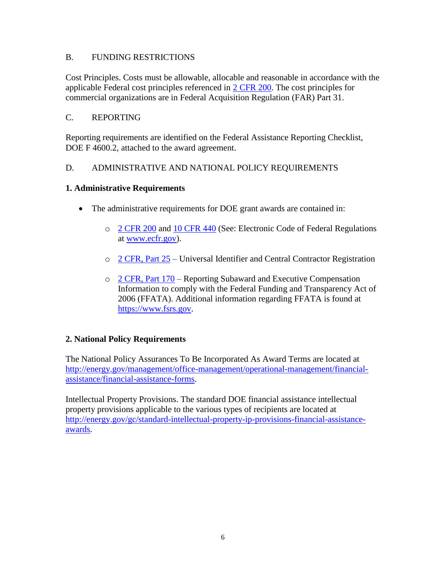#### B. FUNDING RESTRICTIONS

Cost Principles. Costs must be allowable, allocable and reasonable in accordance with the applicable Federal cost principles referenced in [2 CFR](https://www.ecfr.gov/cgi-bin/text-idx?tpl=/ecfrbrowse/Title02/2cfr200_main_02.tpl) 200. The cost principles for commercial organizations are in Federal Acquisition Regulation (FAR) Part 31.

#### <span id="page-5-0"></span>C. REPORTING

Reporting requirements are identified on the Federal Assistance Reporting Checklist, DOE F 4600.2, attached to the award agreement.

#### <span id="page-5-1"></span>D. ADMINISTRATIVE AND NATIONAL POLICY REQUIREMENTS

#### **1. Administrative Requirements**

- The administrative requirements for DOE grant awards are contained in:
	- o [2 CFR 200](https://www.ecfr.gov/cgi-bin/text-idx?tpl=/ecfrbrowse/Title02/2cfr200_main_02.tpl) and [10 CFR 440](https://www.ecfr.gov/cgi-bin/text-idx?tpl=/ecfrbrowse/Title10/10cfr440_main_02.tpl) (See: Electronic Code of Federal Regulations at [www.ecfr.gov\)](http://www.ecfr.gov/).
	- $\circ$  [2 CFR, Part 25](https://www.ecfr.gov/cgi-bin/text-idx?tpl=/ecfrbrowse/Title02/2cfr25_main_02.tpl) Universal Identifier and Central Contractor Registration
	- o [2 CFR, Part 170](https://www.ecfr.gov/cgi-bin/text-idx?tpl=/ecfrbrowse/Title02/2cfr170_main_02.tpl) Reporting Subaward and Executive Compensation Information to comply with the Federal Funding and Transparency Act of 2006 (FFATA). Additional information regarding FFATA is found at [https://www.fsrs.gov.](https://www.fsrs.gov/)

### **2. National Policy Requirements**

The National Policy Assurances To Be Incorporated As Award Terms are located at [http://energy.gov/management/office-management/operational-management/financial](http://energy.gov/management/office-management/operational-management/financial-assistance/financial-assistance-forms)[assistance/financial-assistance-forms.](http://energy.gov/management/office-management/operational-management/financial-assistance/financial-assistance-forms)

Intellectual Property Provisions. The standard DOE financial assistance intellectual property provisions applicable to the various types of recipients are located at [http://energy.gov/gc/standard-intellectual-property-ip-provisions-financial-assistance](http://energy.gov/gc/standard-intellectual-property-ip-provisions-financial-assistance-awards)[awards.](http://energy.gov/gc/standard-intellectual-property-ip-provisions-financial-assistance-awards)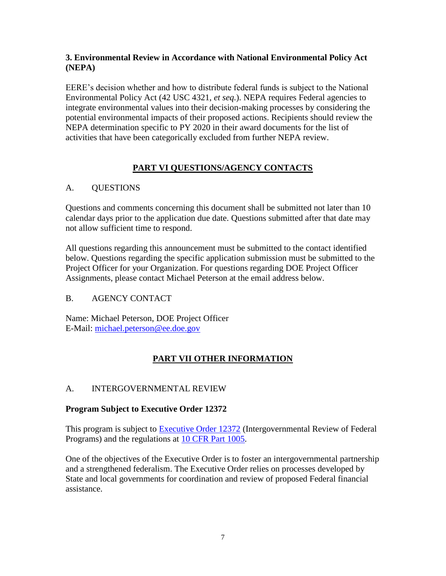### **3. Environmental Review in Accordance with National Environmental Policy Act (NEPA)**

EERE's decision whether and how to distribute federal funds is subject to the National Environmental Policy Act (42 USC 4321, *et seq.*). NEPA requires Federal agencies to integrate environmental values into their decision-making processes by considering the potential environmental impacts of their proposed actions. Recipients should review the NEPA determination specific to PY 2020 in their award documents for the list of activities that have been categorically excluded from further NEPA review.

## **PART VI QUESTIONS/AGENCY CONTACTS**

### <span id="page-6-1"></span><span id="page-6-0"></span>A. QUESTIONS

Questions and comments concerning this document shall be submitted not later than 10 calendar days prior to the application due date. Questions submitted after that date may not allow sufficient time to respond.

All questions regarding this announcement must be submitted to the contact identified below. Questions regarding the specific application submission must be submitted to the Project Officer for your Organization. For questions regarding DOE Project Officer Assignments, please contact Michael Peterson at the email address below.

## <span id="page-6-2"></span>B. AGENCY CONTACT

Name: Michael Peterson, DOE Project Officer E-Mail: [michael.peterson@ee.doe.gov](mailto:michael.peterson@ee.doe.gov)

## **PART VII OTHER INFORMATION**

### <span id="page-6-4"></span><span id="page-6-3"></span>A. INTERGOVERNMENTAL REVIEW

### **Program Subject to Executive Order 12372**

This program is subject to [Executive Order 12372](https://www.fws.gov/policy/library/rgeo12372.pdf) (Intergovernmental Review of Federal Programs) and the regulations at [10 CFR Part 1005.](https://www.gpo.gov/fdsys/granule/CFR-2011-title10-vol4/CFR-2011-title10-vol4-part1005)

One of the objectives of the Executive Order is to foster an intergovernmental partnership and a strengthened federalism. The Executive Order relies on processes developed by State and local governments for coordination and review of proposed Federal financial assistance.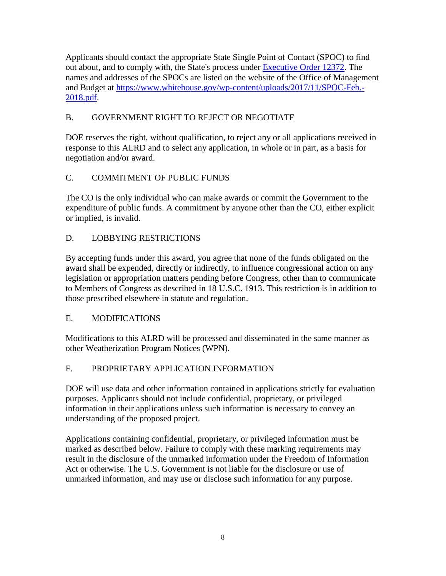Applicants should contact the appropriate State Single Point of Contact (SPOC) to find out about, and to comply with, the State's process under [Executive Order 12372.](https://www.fws.gov/policy/library/rgeo12372.pdf) The names and addresses of the SPOCs are listed on the website of the Office of Management and Budget at [https://www.whitehouse.gov/wp-content/uploads/2017/11/SPOC-Feb.-](https://www.whitehouse.gov/wp-content/uploads/2017/11/SPOC-Feb.-2018.pdf) [2018.pdf.](https://www.whitehouse.gov/wp-content/uploads/2017/11/SPOC-Feb.-2018.pdf)

## <span id="page-7-0"></span>B. GOVERNMENT RIGHT TO REJECT OR NEGOTIATE

DOE reserves the right, without qualification, to reject any or all applications received in response to this ALRD and to select any application, in whole or in part, as a basis for negotiation and/or award.

## <span id="page-7-1"></span>C. COMMITMENT OF PUBLIC FUNDS

The CO is the only individual who can make awards or commit the Government to the expenditure of public funds. A commitment by anyone other than the CO, either explicit or implied, is invalid.

## <span id="page-7-2"></span>D. LOBBYING RESTRICTIONS

By accepting funds under this award, you agree that none of the funds obligated on the award shall be expended, directly or indirectly, to influence congressional action on any legislation or appropriation matters pending before Congress, other than to communicate to Members of Congress as described in 18 U.S.C. 1913. This restriction is in addition to those prescribed elsewhere in statute and regulation.

## <span id="page-7-3"></span>E. MODIFICATIONS

Modifications to this ALRD will be processed and disseminated in the same manner as other Weatherization Program Notices (WPN).

## <span id="page-7-4"></span>F. PROPRIETARY APPLICATION INFORMATION

DOE will use data and other information contained in applications strictly for evaluation purposes. Applicants should not include confidential, proprietary, or privileged information in their applications unless such information is necessary to convey an understanding of the proposed project.

Applications containing confidential, proprietary, or privileged information must be marked as described below. Failure to comply with these marking requirements may result in the disclosure of the unmarked information under the Freedom of Information Act or otherwise. The U.S. Government is not liable for the disclosure or use of unmarked information, and may use or disclose such information for any purpose.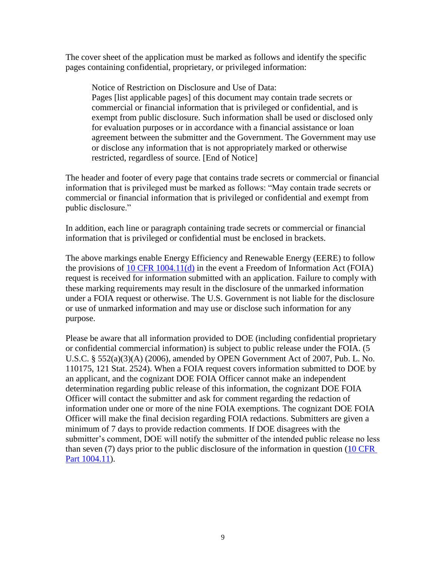The cover sheet of the application must be marked as follows and identify the specific pages containing confidential, proprietary, or privileged information:

Notice of Restriction on Disclosure and Use of Data: Pages [list applicable pages] of this document may contain trade secrets or commercial or financial information that is privileged or confidential, and is exempt from public disclosure. Such information shall be used or disclosed only for evaluation purposes or in accordance with a financial assistance or loan agreement between the submitter and the Government. The Government may use or disclose any information that is not appropriately marked or otherwise restricted, regardless of source. [End of Notice]

The header and footer of every page that contains trade secrets or commercial or financial information that is privileged must be marked as follows: "May contain trade secrets or commercial or financial information that is privileged or confidential and exempt from public disclosure."

In addition, each line or paragraph containing trade secrets or commercial or financial information that is privileged or confidential must be enclosed in brackets.

The above markings enable Energy Efficiency and Renewable Energy (EERE) to follow the provisions of [10 CFR 1004.11\(d\)](https://www.ecfr.gov/cgi-bin/text-idx?SID=4283040a0c235df0101ef71422f8c3b8&mc=true&node=se10.4.1004_111&rgn=div8) in the event a Freedom of Information Act (FOIA) request is received for information submitted with an application. Failure to comply with these marking requirements may result in the disclosure of the unmarked information under a FOIA request or otherwise. The U.S. Government is not liable for the disclosure or use of unmarked information and may use or disclose such information for any purpose.

<span id="page-8-0"></span>Please be aware that all information provided to DOE (including confidential proprietary or confidential commercial information) is subject to public release under the FOIA. (5 U.S.C. § 552(a)(3)(A) (2006), amended by OPEN Government Act of 2007, Pub. L. No. 110175, 121 Stat. 2524). When a FOIA request covers information submitted to DOE by an applicant, and the cognizant DOE FOIA Officer cannot make an independent determination regarding public release of this information, the cognizant DOE FOIA Officer will contact the submitter and ask for comment regarding the redaction of information under one or more of the nine FOIA exemptions. The cognizant DOE FOIA Officer will make the final decision regarding FOIA redactions. Submitters are given a minimum of 7 days to provide redaction comments. If DOE disagrees with the submitter's comment, DOE will notify the submitter of the intended public release no less than seven (7) days prior to the public disclosure of the information in question [\(10 CFR](https://www.ecfr.gov/cgi-bin/text-idx?SID=4283040a0c235df0101ef71422f8c3b8&mc=true&node=se10.4.1004_111&rgn=div8)  [Part 1004.11\)](https://www.ecfr.gov/cgi-bin/text-idx?SID=4283040a0c235df0101ef71422f8c3b8&mc=true&node=se10.4.1004_111&rgn=div8).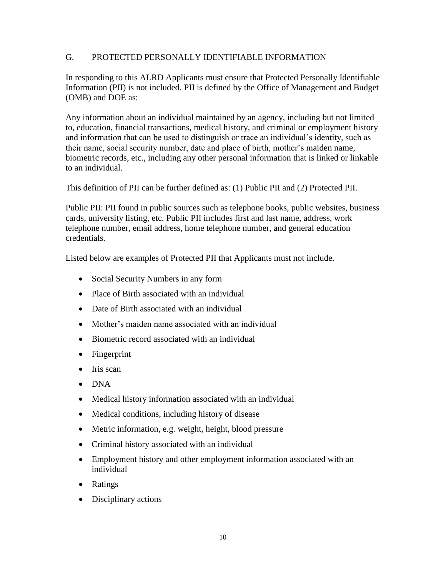#### G. PROTECTED PERSONALLY IDENTIFIABLE INFORMATION

In responding to this ALRD Applicants must ensure that Protected Personally Identifiable Information (PII) is not included. PII is defined by the Office of Management and Budget (OMB) and DOE as:

Any information about an individual maintained by an agency, including but not limited to, education, financial transactions, medical history, and criminal or employment history and information that can be used to distinguish or trace an individual's identity, such as their name, social security number, date and place of birth, mother's maiden name, biometric records, etc., including any other personal information that is linked or linkable to an individual.

This definition of PII can be further defined as: (1) Public PII and (2) Protected PII.

Public PII: PII found in public sources such as telephone books, public websites, business cards, university listing, etc. Public PII includes first and last name, address, work telephone number, email address, home telephone number, and general education credentials.

Listed below are examples of Protected PII that Applicants must not include.

- Social Security Numbers in any form
- Place of Birth associated with an individual
- Date of Birth associated with an individual
- Mother's maiden name associated with an individual
- Biometric record associated with an individual
- Fingerprint
- $\bullet$  Iris scan
- DNA
- Medical history information associated with an individual
- Medical conditions, including history of disease
- Metric information, e.g. weight, height, blood pressure
- Criminal history associated with an individual
- Employment history and other employment information associated with an individual
- Ratings
- Disciplinary actions